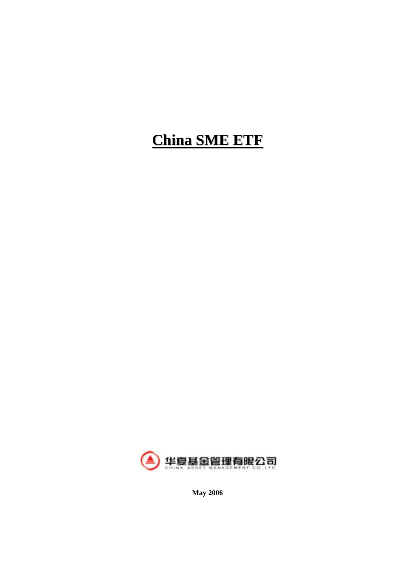# **China SME ETF**



**May 2006**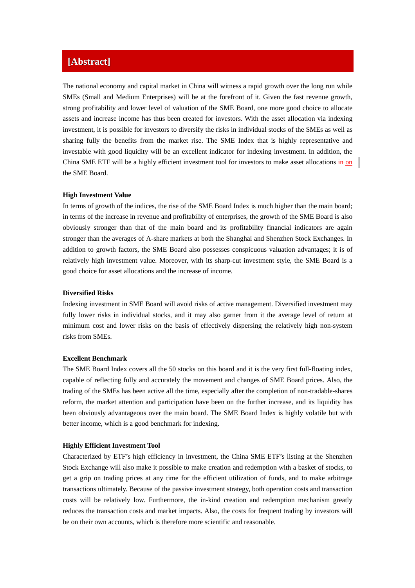### **[Abstract]**

The national economy and capital market in China will witness a rapid growth over the long run while SMEs (Small and Medium Enterprises) will be at the forefront of it. Given the fast revenue growth, strong profitability and lower level of valuation of the SME Board, one more good choice to allocate assets and increase income has thus been created for investors. With the asset allocation via indexing investment, it is possible for investors to diversify the risks in individual stocks of the SMEs as well as sharing fully the benefits from the market rise. The SME Index that is highly representative and investable with good liquidity will be an excellent indicator for indexing investment. In addition, the China SME ETF will be a highly efficient investment tool for investors to make asset allocations  $\frac{1}{2}$  on the SME Board.

#### **High Investment Value**

In terms of growth of the indices, the rise of the SME Board Index is much higher than the main board; in terms of the increase in revenue and profitability of enterprises, the growth of the SME Board is also obviously stronger than that of the main board and its profitability financial indicators are again stronger than the averages of A-share markets at both the Shanghai and Shenzhen Stock Exchanges. In addition to growth factors, the SME Board also possesses conspicuous valuation advantages; it is of relatively high investment value. Moreover, with its sharp-cut investment style, the SME Board is a good choice for asset allocations and the increase of income.

#### **Diversified Risks**

Indexing investment in SME Board will avoid risks of active management. Diversified investment may fully lower risks in individual stocks, and it may also garner from it the average level of return at minimum cost and lower risks on the basis of effectively dispersing the relatively high non-system risks from SMEs.

#### **Excellent Benchmark**

The SME Board Index covers all the 50 stocks on this board and it is the very first full-floating index, capable of reflecting fully and accurately the movement and changes of SME Board prices. Also, the trading of the SMEs has been active all the time, especially after the completion of non-tradable-shares reform, the market attention and participation have been on the further increase, and its liquidity has been obviously advantageous over the main board. The SME Board Index is highly volatile but with better income, which is a good benchmark for indexing.

#### **Highly Efficient Investment Tool**

Characterized by ETF's high efficiency in investment, the China SME ETF's listing at the Shenzhen Stock Exchange will also make it possible to make creation and redemption with a basket of stocks, to get a grip on trading prices at any time for the efficient utilization of funds, and to make arbitrage transactions ultimately. Because of the passive investment strategy, both operation costs and transaction costs will be relatively low. Furthermore, the in-kind creation and redemption mechanism greatly reduces the transaction costs and market impacts. Also, the costs for frequent trading by investors will be on their own accounts, which is therefore more scientific and reasonable.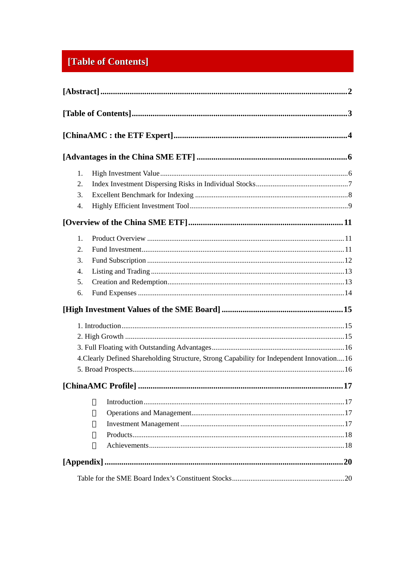# [Table of Contents]

| 1.                                                                                         |  |
|--------------------------------------------------------------------------------------------|--|
| 2.                                                                                         |  |
| 3.                                                                                         |  |
| 4.                                                                                         |  |
|                                                                                            |  |
| 1.                                                                                         |  |
| 2.                                                                                         |  |
| 3.                                                                                         |  |
| 4.                                                                                         |  |
| 5.                                                                                         |  |
| 6.                                                                                         |  |
|                                                                                            |  |
|                                                                                            |  |
|                                                                                            |  |
|                                                                                            |  |
| 4. Clearly Defined Shareholding Structure, Strong Capability for Independent Innovation 16 |  |
|                                                                                            |  |
|                                                                                            |  |
|                                                                                            |  |
|                                                                                            |  |
|                                                                                            |  |
|                                                                                            |  |
|                                                                                            |  |
|                                                                                            |  |
|                                                                                            |  |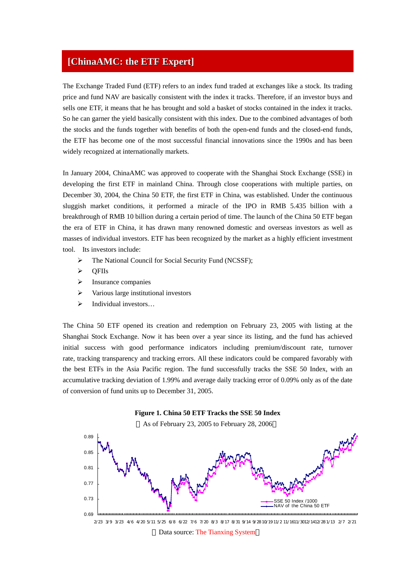### **[ChinaAMC: the ETF Expert]**

The Exchange Traded Fund (ETF) refers to an index fund traded at exchanges like a stock. Its trading price and fund NAV are basically consistent with the index it tracks. Therefore, if an investor buys and sells one ETF, it means that he has brought and sold a basket of stocks contained in the index it tracks. So he can garner the yield basically consistent with this index. Due to the combined advantages of both the stocks and the funds together with benefits of both the open-end funds and the closed-end funds, the ETF has become one of the most successful financial innovations since the 1990s and has been widely recognized at internationally markets.

In January 2004, ChinaAMC was approved to cooperate with the Shanghai Stock Exchange (SSE) in developing the first ETF in mainland China. Through close cooperations with multiple parties, on December 30, 2004, the China 50 ETF, the first ETF in China, was established. Under the continuous sluggish market conditions, it performed a miracle of the IPO in RMB 5.435 billion with a breakthrough of RMB 10 billion during a certain period of time. The launch of the China 50 ETF began the era of ETF in China, it has drawn many renowned domestic and overseas investors as well as masses of individual investors. ETF has been recognized by the market as a highly efficient investment tool. Its investors include:

- ¾ The National Council for Social Security Fund (NCSSF);
- ¾ QFIIs
- $\triangleright$  Insurance companies
- $\triangleright$  Various large institutional investors
- $\triangleright$  Individual investors...

The China 50 ETF opened its creation and redemption on February 23, 2005 with listing at the Shanghai Stock Exchange. Now it has been over a year since its listing, and the fund has achieved initial success with good performance indicators including premium/discount rate, turnover rate, tracking transparency and tracking errors. All these indicators could be compared favorably with the best ETFs in the Asia Pacific region. The fund successfully tracks the SSE 50 Index, with an accumulative tracking deviation of 1.99% and average daily tracking error of 0.09% only as of the date of conversion of fund units up to December 31, 2005.



Data source: The Tianxing System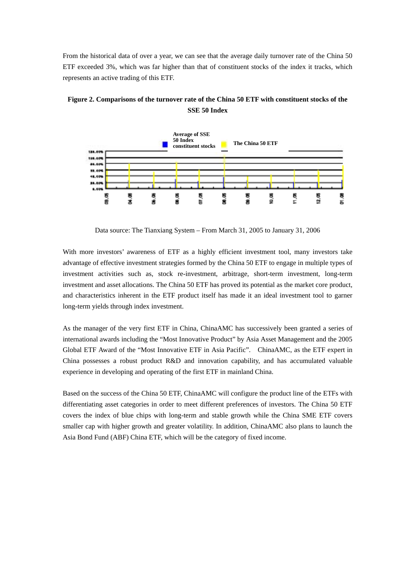From the historical data of over a year, we can see that the average daily turnover rate of the China 50 ETF exceeded 3%, which was far higher than that of constituent stocks of the index it tracks, which represents an active trading of this ETF.



**Figure 2. Comparisons of the turnover rate of the China 50 ETF with constituent stocks of the SSE 50 Index**

Data source: The Tianxiang System – From March 31, 2005 to January 31, 2006

With more investors' awareness of ETF as a highly efficient investment tool, many investors take advantage of effective investment strategies formed by the China 50 ETF to engage in multiple types of investment activities such as, stock re-investment, arbitrage, short-term investment, long-term investment and asset allocations. The China 50 ETF has proved its potential as the market core product, and characteristics inherent in the ETF product itself has made it an ideal investment tool to garner long-term yields through index investment.

As the manager of the very first ETF in China, ChinaAMC has successively been granted a series of international awards including the "Most Innovative Product" by Asia Asset Management and the 2005 Global ETF Award of the "Most Innovative ETF in Asia Pacific". ChinaAMC, as the ETF expert in China possesses a robust product R&D and innovation capability, and has accumulated valuable experience in developing and operating of the first ETF in mainland China.

Based on the success of the China 50 ETF, ChinaAMC will configure the product line of the ETFs with differentiating asset categories in order to meet different preferences of investors. The China 50 ETF covers the index of blue chips with long-term and stable growth while the China SME ETF covers smaller cap with higher growth and greater volatility. In addition, ChinaAMC also plans to launch the Asia Bond Fund (ABF) China ETF, which will be the category of fixed income.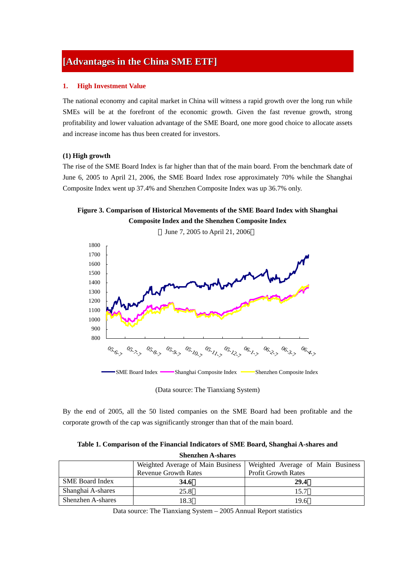### **[Advantages in the China SME ETF]**

#### **1. High Investment Value**

The national economy and capital market in China will witness a rapid growth over the long run while SMEs will be at the forefront of the economic growth. Given the fast revenue growth, strong profitability and lower valuation advantage of the SME Board, one more good choice to allocate assets and increase income has thus been created for investors.

#### **(1) High growth**

The rise of the SME Board Index is far higher than that of the main board. From the benchmark date of June 6, 2005 to April 21, 2006, the SME Board Index rose approximately 70% while the Shanghai Composite Index went up 37.4% and Shenzhen Composite Index was up 36.7% only.

**Figure 3. Comparison of Historical Movements of the SME Board Index with Shanghai Composite Index and the Shenzhen Composite Index**



(Data source: The Tianxiang System)

By the end of 2005, all the 50 listed companies on the SME Board had been profitable and the corporate growth of the cap was significantly stronger than that of the main board.

| Table 1. Comparison of the Financial Indicators of SME Board, Shanghai A-shares and |
|-------------------------------------------------------------------------------------|
| <b>Shenzhen A-shares</b>                                                            |

|                          | Weighted Average of Main Business | Weighted Average of Main Business |
|--------------------------|-----------------------------------|-----------------------------------|
|                          | <b>Revenue Growth Rates</b>       | <b>Profit Growth Rates</b>        |
| <b>SME Board Index</b>   | 34.6                              | 29.4                              |
| Shanghai A-shares        | 25.8                              | 15.7                              |
| <b>Shenzhen A-shares</b> | 18.3                              | 19.6                              |

Data source: The Tianxiang System – 2005 Annual Report statistics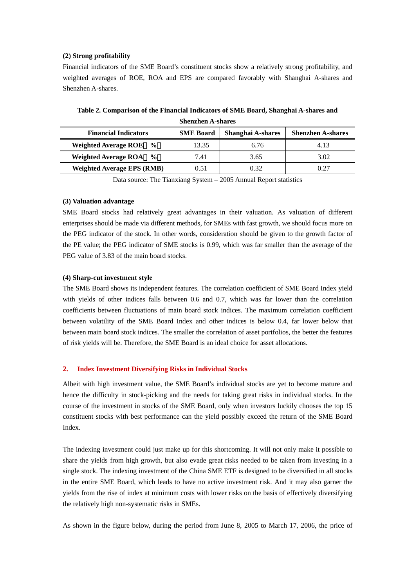#### **(2) Strong profitability**

Financial indicators of the SME Board's constituent stocks show a relatively strong profitability, and weighted averages of ROE, ROA and EPS are compared favorably with Shanghai A-shares and Shenzhen A-shares.

| Duchench is bhuic                            |                  |                   |                          |  |
|----------------------------------------------|------------------|-------------------|--------------------------|--|
| <b>Financial Indicators</b>                  | <b>SME Board</b> | Shanghai A-shares | <b>Shenzhen A-shares</b> |  |
| <b>Weighted Average ROE</b><br>$\frac{0}{0}$ | 13.35            | 6.76              | 4.13                     |  |
| Weighted Average ROA %                       | 7.41             | 3.65              | 3.02                     |  |
| <b>Weighted Average EPS (RMB)</b>            | 0.51             | 0.32              | 0.27                     |  |

**Table 2. Comparison of the Financial Indicators of SME Board, Shanghai A-shares and Shenzhen A-shares** 

Data source: The Tianxiang System – 2005 Annual Report statistics

#### **(3) Valuation advantage**

SME Board stocks had relatively great advantages in their valuation. As valuation of different enterprises should be made via different methods, for SMEs with fast growth, we should focus more on the PEG indicator of the stock. In other words, consideration should be given to the growth factor of the PE value; the PEG indicator of SME stocks is 0.99, which was far smaller than the average of the PEG value of 3.83 of the main board stocks.

#### **(4) Sharp-cut investment style**

The SME Board shows its independent features. The correlation coefficient of SME Board Index yield with yields of other indices falls between 0.6 and 0.7, which was far lower than the correlation coefficients between fluctuations of main board stock indices. The maximum correlation coefficient between volatility of the SME Board Index and other indices is below 0.4, far lower below that between main board stock indices. The smaller the correlation of asset portfolios, the better the features of risk yields will be. Therefore, the SME Board is an ideal choice for asset allocations.

#### **2. Index Investment Diversifying Risks in Individual Stocks**

Albeit with high investment value, the SME Board's individual stocks are yet to become mature and hence the difficulty in stock-picking and the needs for taking great risks in individual stocks. In the course of the investment in stocks of the SME Board, only when investors luckily chooses the top 15 constituent stocks with best performance can the yield possibly exceed the return of the SME Board Index.

The indexing investment could just make up for this shortcoming. It will not only make it possible to share the yields from high growth, but also evade great risks needed to be taken from investing in a single stock. The indexing investment of the China SME ETF is designed to be diversified in all stocks in the entire SME Board, which leads to have no active investment risk. And it may also garner the yields from the rise of index at minimum costs with lower risks on the basis of effectively diversifying the relatively high non-systematic risks in SMEs.

As shown in the figure below, during the period from June 8, 2005 to March 17, 2006, the price of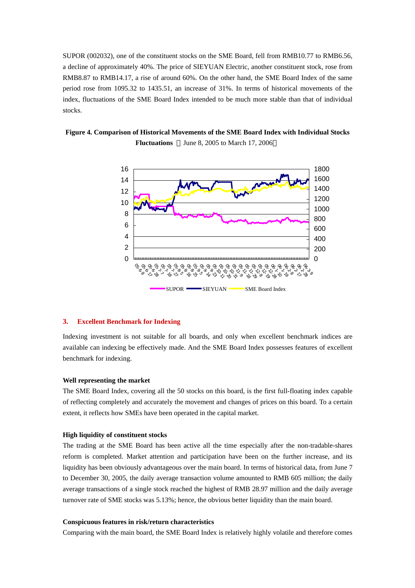SUPOR (002032), one of the constituent stocks on the SME Board, fell from RMB10.77 to RMB6.56, a decline of approximately 40%. The price of SIEYUAN Electric, another constituent stock, rose from RMB8.87 to RMB14.17, a rise of around 60%. On the other hand, the SME Board Index of the same period rose from 1095.32 to 1435.51, an increase of 31%. In terms of historical movements of the index, fluctuations of the SME Board Index intended to be much more stable than that of individual stocks.

**Figure 4. Comparison of Historical Movements of the SME Board Index with Individual Stocks Fluctuations** June 8, 2005 to March 17, 2006



#### **3. Excellent Benchmark for Indexing**

Indexing investment is not suitable for all boards, and only when excellent benchmark indices are available can indexing be effectively made. And the SME Board Index possesses features of excellent benchmark for indexing.

#### **Well representing the market**

The SME Board Index, covering all the 50 stocks on this board, is the first full-floating index capable of reflecting completely and accurately the movement and changes of prices on this board. To a certain extent, it reflects how SMEs have been operated in the capital market.

#### **High liquidity of constituent stocks**

The trading at the SME Board has been active all the time especially after the non-tradable-shares reform is completed. Market attention and participation have been on the further increase, and its liquidity has been obviously advantageous over the main board. In terms of historical data, from June 7 to December 30, 2005, the daily average transaction volume amounted to RMB 605 million; the daily average transactions of a single stock reached the highest of RMB 28.97 million and the daily average turnover rate of SME stocks was 5.13%; hence, the obvious better liquidity than the main board.

#### **Conspicuous features in risk/return characteristics**

Comparing with the main board, the SME Board Index is relatively highly volatile and therefore comes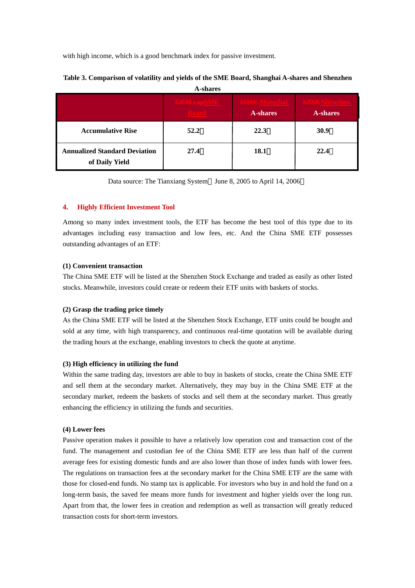with high income, which is a good benchmark index for passive investment.

| A-shares                                               |                    |                                          |                                        |
|--------------------------------------------------------|--------------------|------------------------------------------|----------------------------------------|
|                                                        | <b>CEM-capSMID</b> | <b>SHSE-Shangha</b> i<br><b>A-shares</b> | <b>SZSE-Shenzhe</b><br><b>A-shares</b> |
| <b>Accumulative Rise</b>                               | 52.2               | 22.3                                     | <b>30.9</b>                            |
| <b>Annualized Standard Deviation</b><br>of Daily Yield | 27.4               | 18.1                                     | 22.4                                   |

### **Table 3. Comparison of volatility and yields of the SME Board, Shanghai A-shares and Shenzhen**

Data source: The Tianxiang System June 8, 2005 to April 14, 2006

#### **4. Highly Efficient Investment Tool**

Among so many index investment tools, the ETF has become the best tool of this type due to its advantages including easy transaction and low fees, etc. And the China SME ETF possesses outstanding advantages of an ETF:

#### **(1) Convenient transaction**

The China SME ETF will be listed at the Shenzhen Stock Exchange and traded as easily as other listed stocks. Meanwhile, investors could create or redeem their ETF units with baskets of stocks.

#### **(2) Grasp the trading price timely**

As the China SME ETF will be listed at the Shenzhen Stock Exchange, ETF units could be bought and sold at any time, with high transparency, and continuous real-time quotation will be available during the trading hours at the exchange, enabling investors to check the quote at anytime.

#### **(3) High efficiency in utilizing the fund**

Within the same trading day, investors are able to buy in baskets of stocks, create the China SME ETF and sell them at the secondary market. Alternatively, they may buy in the China SME ETF at the secondary market, redeem the baskets of stocks and sell them at the secondary market. Thus greatly enhancing the efficiency in utilizing the funds and securities.

#### **(4) Lower fees**

Passive operation makes it possible to have a relatively low operation cost and transaction cost of the fund. The management and custodian fee of the China SME ETF are less than half of the current average fees for existing domestic funds and are also lower than those of index funds with lower fees. The regulations on transaction fees at the secondary market for the China SME ETF are the same with those for closed-end funds. No stamp tax is applicable. For investors who buy in and hold the fund on a long-term basis, the saved fee means more funds for investment and higher yields over the long run. Apart from that, the lower fees in creation and redemption as well as transaction will greatly reduced transaction costs for short-term investors.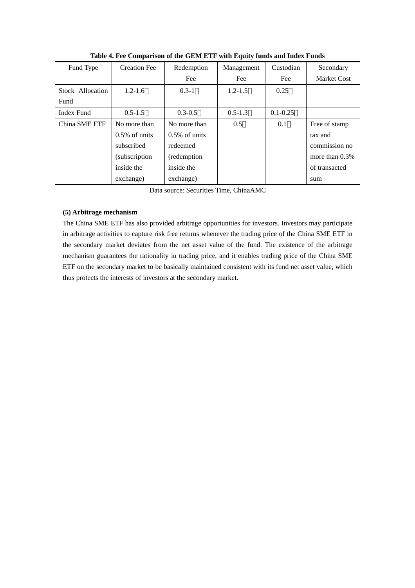| Fund Type        | <b>Creation Fee</b> | Redemption       | Management  | Custodian    | Secondary          |
|------------------|---------------------|------------------|-------------|--------------|--------------------|
|                  |                     | Fee              | Fee         | Fee          | <b>Market Cost</b> |
| Stock Allocation | $1.2 - 1.6$         | $0.3 - 1$        | $1.2 - 1.5$ | 0.25         |                    |
| Fund             |                     |                  |             |              |                    |
| Index Fund       | $0.5 - 1.5$         | $0.3 - 0.5$      | $0.5 - 1.3$ | $0.1 - 0.25$ |                    |
| China SME ETF    | No more than        | No more than     | 0.5         | 0.1          | Free of stamp      |
|                  | $0.5\%$ of units    | $0.5\%$ of units |             |              | tax and            |
|                  | subscribed          | redeemed         |             |              | commission no      |
|                  | (subscription)      | (redemption)     |             |              | more than $0.3\%$  |
|                  | inside the          | inside the       |             |              | of transacted      |
|                  | exchange)           | exchange)        |             |              | sum                |

**Table 4. Fee Comparison of the GEM ETF with Equity funds and Index Funds** 

Data source: Securities Time, ChinaAMC

#### **(5) Arbitrage mechanism**

The China SME ETF has also provided arbitrage opportunities for investors. Investors may participate in arbitrage activities to capture risk free returns whenever the trading price of the China SME ETF in the secondary market deviates from the net asset value of the fund. The existence of the arbitrage mechanism guarantees the rationality in trading price, and it enables trading price of the China SME ETF on the secondary market to be basically maintained consistent with its fund net asset value, which thus protects the interests of investors at the secondary market.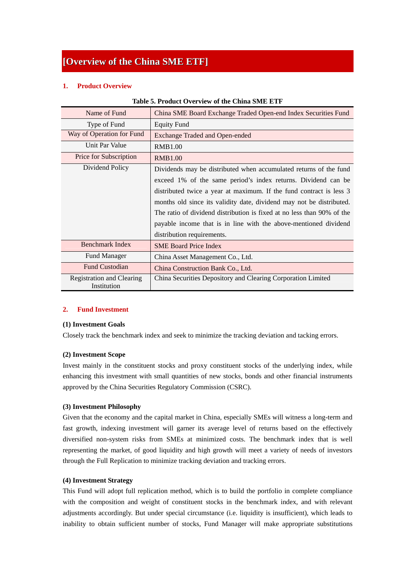### **[Overview of the China SME ETF]**

#### **1. Product Overview**

| Name of Fund                                    | China SME Board Exchange Traded Open-end Index Securities Fund         |  |  |
|-------------------------------------------------|------------------------------------------------------------------------|--|--|
| Type of Fund                                    | <b>Equity Fund</b>                                                     |  |  |
| Way of Operation for Fund                       | Exchange Traded and Open-ended                                         |  |  |
| Unit Par Value                                  | <b>RMB1.00</b>                                                         |  |  |
| Price for Subscription                          | <b>RMB1.00</b>                                                         |  |  |
| Dividend Policy                                 | Dividends may be distributed when accumulated returns of the fund      |  |  |
|                                                 | exceed 1% of the same period's index returns. Dividend can be          |  |  |
|                                                 | distributed twice a year at maximum. If the fund contract is less 3    |  |  |
|                                                 | months old since its validity date, dividend may not be distributed.   |  |  |
|                                                 | The ratio of dividend distribution is fixed at no less than 90% of the |  |  |
|                                                 | payable income that is in line with the above-mentioned dividend       |  |  |
|                                                 | distribution requirements.                                             |  |  |
| Benchmark Index                                 | <b>SME Board Price Index</b>                                           |  |  |
| <b>Fund Manager</b>                             | China Asset Management Co., Ltd.                                       |  |  |
| <b>Fund Custodian</b>                           | China Construction Bank Co., Ltd.                                      |  |  |
| <b>Registration and Clearing</b><br>Institution | China Securities Depository and Clearing Corporation Limited           |  |  |

#### **Table 5. Product Overview of the China SME ETF**

#### **2. Fund Investment**

#### **(1) Investment Goals**

Closely track the benchmark index and seek to minimize the tracking deviation and tacking errors.

#### **(2) Investment Scope**

Invest mainly in the constituent stocks and proxy constituent stocks of the underlying index, while enhancing this investment with small quantities of new stocks, bonds and other financial instruments approved by the China Securities Regulatory Commission (CSRC).

#### **(3) Investment Philosophy**

Given that the economy and the capital market in China, especially SMEs will witness a long-term and fast growth, indexing investment will garner its average level of returns based on the effectively diversified non-system risks from SMEs at minimized costs. The benchmark index that is well representing the market, of good liquidity and high growth will meet a variety of needs of investors through the Full Replication to minimize tracking deviation and tracking errors.

#### **(4) Investment Strategy**

This Fund will adopt full replication method, which is to build the portfolio in complete compliance with the composition and weight of constituent stocks in the benchmark index, and with relevant adjustments accordingly. But under special circumstance (i.e. liquidity is insufficient), which leads to inability to obtain sufficient number of stocks, Fund Manager will make appropriate substitutions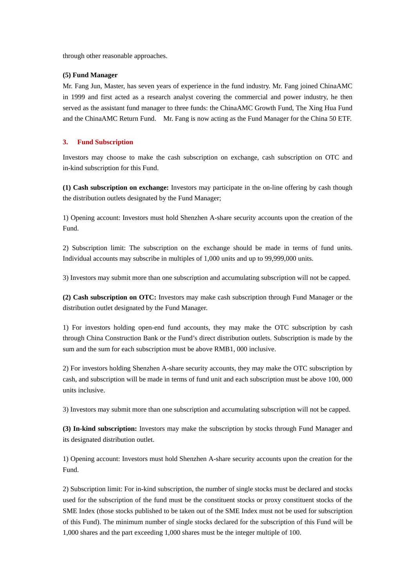through other reasonable approaches.

#### **(5) Fund Manager**

Mr. Fang Jun, Master, has seven years of experience in the fund industry. Mr. Fang joined ChinaAMC in 1999 and first acted as a research analyst covering the commercial and power industry, he then served as the assistant fund manager to three funds: the ChinaAMC Growth Fund, The Xing Hua Fund and the ChinaAMC Return Fund. Mr. Fang is now acting as the Fund Manager for the China 50 ETF.

#### **3. Fund Subscription**

Investors may choose to make the cash subscription on exchange, cash subscription on OTC and in-kind subscription for this Fund.

**(1) Cash subscription on exchange:** Investors may participate in the on-line offering by cash though the distribution outlets designated by the Fund Manager;

1) Opening account: Investors must hold Shenzhen A-share security accounts upon the creation of the Fund.

2) Subscription limit: The subscription on the exchange should be made in terms of fund units. Individual accounts may subscribe in multiples of 1,000 units and up to 99,999,000 units.

3) Investors may submit more than one subscription and accumulating subscription will not be capped.

**(2) Cash subscription on OTC:** Investors may make cash subscription through Fund Manager or the distribution outlet designated by the Fund Manager.

1) For investors holding open-end fund accounts, they may make the OTC subscription by cash through China Construction Bank or the Fund's direct distribution outlets. Subscription is made by the sum and the sum for each subscription must be above RMB1, 000 inclusive.

2) For investors holding Shenzhen A-share security accounts, they may make the OTC subscription by cash, and subscription will be made in terms of fund unit and each subscription must be above 100, 000 units inclusive.

3) Investors may submit more than one subscription and accumulating subscription will not be capped.

**(3) In-kind subscription:** Investors may make the subscription by stocks through Fund Manager and its designated distribution outlet.

1) Opening account: Investors must hold Shenzhen A-share security accounts upon the creation for the Fund.

2) Subscription limit: For in-kind subscription, the number of single stocks must be declared and stocks used for the subscription of the fund must be the constituent stocks or proxy constituent stocks of the SME Index (those stocks published to be taken out of the SME Index must not be used for subscription of this Fund). The minimum number of single stocks declared for the subscription of this Fund will be 1,000 shares and the part exceeding 1,000 shares must be the integer multiple of 100.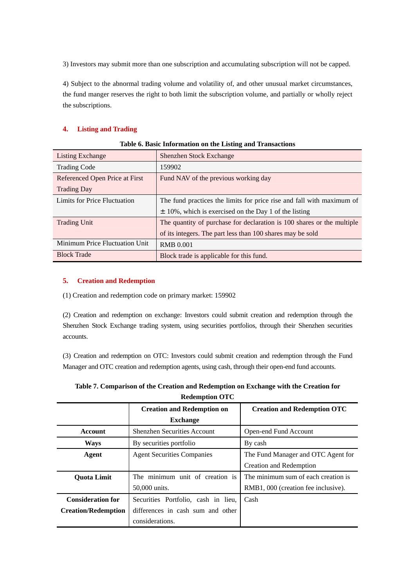3) Investors may submit more than one subscription and accumulating subscription will not be capped.

4) Subject to the abnormal trading volume and volatility of, and other unusual market circumstances, the fund manger reserves the right to both limit the subscription volume, and partially or wholly reject the subscriptions.

#### **4. Listing and Trading**

| Listing Exchange               | Shenzhen Stock Exchange                                                |
|--------------------------------|------------------------------------------------------------------------|
| <b>Trading Code</b>            | 159902                                                                 |
| Referenced Open Price at First | Fund NAV of the previous working day                                   |
| <b>Trading Day</b>             |                                                                        |
| Limits for Price Fluctuation   | The fund practices the limits for price rise and fall with maximum of  |
|                                | $\pm$ 10%, which is exercised on the Day 1 of the listing              |
| <b>Trading Unit</b>            | The quantity of purchase for declaration is 100 shares or the multiple |
|                                | of its integers. The part less than 100 shares may be sold             |
| Minimum Price Fluctuation Unit | <b>RMB 0.001</b>                                                       |
| <b>Block Trade</b>             | Block trade is applicable for this fund.                               |

#### **Table 6. Basic Information on the Listing and Transactions**

#### **5. Creation and Redemption**

(1) Creation and redemption code on primary market: 159902

(2) Creation and redemption on exchange: Investors could submit creation and redemption through the Shenzhen Stock Exchange trading system, using securities portfolios, through their Shenzhen securities accounts.

(3) Creation and redemption on OTC: Investors could submit creation and redemption through the Fund Manager and OTC creation and redemption agents, using cash, through their open-end fund accounts.

| <b>Redemption OTC</b>                      |                                     |                                     |  |
|--------------------------------------------|-------------------------------------|-------------------------------------|--|
|                                            | <b>Creation and Redemption on</b>   | <b>Creation and Redemption OTC</b>  |  |
|                                            | <b>Exchange</b>                     |                                     |  |
| Account                                    | <b>Shenzhen Securities Account</b>  | Open-end Fund Account               |  |
| <b>Ways</b>                                | By securities portfolio             | By cash                             |  |
| <b>Agent Securities Companies</b><br>Agent |                                     | The Fund Manager and OTC Agent for  |  |
|                                            |                                     | Creation and Redemption             |  |
| <b>Ouota Limit</b>                         | The minimum unit of creation is     | The minimum sum of each creation is |  |
|                                            | 50,000 units.                       | RMB1, 000 (creation fee inclusive). |  |
| <b>Consideration for</b>                   | Securities Portfolio, cash in lieu, | Cash                                |  |
| <b>Creation/Redemption</b>                 | differences in cash sum and other   |                                     |  |
|                                            | considerations.                     |                                     |  |

| Table 7. Comparison of the Creation and Redemption on Exchange with the Creation for |
|--------------------------------------------------------------------------------------|
| Redemntion OTC                                                                       |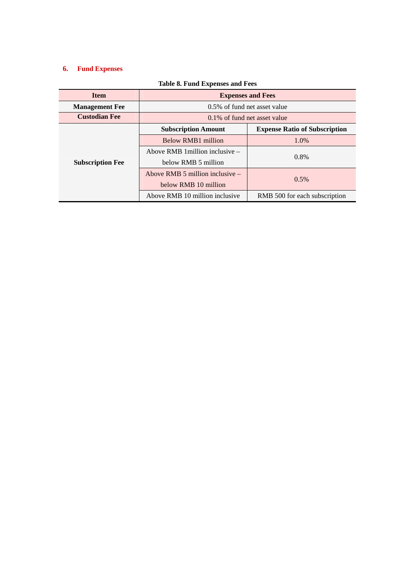### **6. Fund Expenses**

| <b>Item</b>             | <b>Expenses and Fees</b>          |                                      |  |
|-------------------------|-----------------------------------|--------------------------------------|--|
| <b>Management Fee</b>   | 0.5% of fund net asset value      |                                      |  |
| <b>Custodian Fee</b>    | 0.1% of fund net asset value      |                                      |  |
|                         | <b>Subscription Amount</b>        | <b>Expense Ratio of Subscription</b> |  |
|                         | Below RMB1 million                | 1.0%                                 |  |
|                         | Above RMB 1 million inclusive –   |                                      |  |
| <b>Subscription Fee</b> | below RMB 5 million               | $0.8\%$                              |  |
|                         | Above RMB 5 million inclusive $-$ |                                      |  |
|                         | below RMB 10 million              | 0.5%                                 |  |
|                         | Above RMB 10 million inclusive    | RMB 500 for each subscription        |  |

#### **Table 8. Fund Expenses and Fees**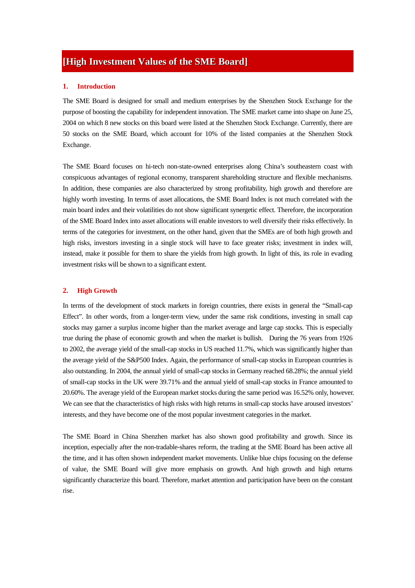### **[High Investment Values of the SME Board]**

#### **1. Introduction**

The SME Board is designed for small and medium enterprises by the Shenzhen Stock Exchange for the purpose of boosting the capability for independent innovation. The SME market came into shape on June 25, 2004 on which 8 new stocks on this board were listed at the Shenzhen Stock Exchange. Currently, there are 50 stocks on the SME Board, which account for 10% of the listed companies at the Shenzhen Stock Exchange.

The SME Board focuses on hi-tech non-state-owned enterprises along China's southeastern coast with conspicuous advantages of regional economy, transparent shareholding structure and flexible mechanisms. In addition, these companies are also characterized by strong profitability, high growth and therefore are highly worth investing. In terms of asset allocations, the SME Board Index is not much correlated with the main board index and their volatilities do not show significant synergetic effect. Therefore, the incorporation of the SME Board Index into asset allocations will enable investors to well diversify their risks effectively. In terms of the categories for investment, on the other hand, given that the SMEs are of both high growth and high risks, investors investing in a single stock will have to face greater risks; investment in index will, instead, make it possible for them to share the yields from high growth. In light of this, its role in evading investment risks will be shown to a significant extent.

#### **2. High Growth**

In terms of the development of stock markets in foreign countries, there exists in general the "Small-cap Effect". In other words, from a longer-term view, under the same risk conditions, investing in small cap stocks may garner a surplus income higher than the market average and large cap stocks. This is especially true during the phase of economic growth and when the market is bullish. During the 76 years from 1926 to 2002, the average yield of the small-cap stocks in US reached 11.7%, which was significantly higher than the average yield of the S&P500 Index. Again, the performance of small-cap stocks in European countries is also outstanding. In 2004, the annual yield of small-cap stocks in Germany reached 68.28%; the annual yield of small-cap stocks in the UK were 39.71% and the annual yield of small-cap stocks in France amounted to 20.60%. The average yield of the European market stocks during the same period was 16.52% only, however. We can see that the characteristics of high risks with high returns in small-cap stocks have aroused investors' interests, and they have become one of the most popular investment categories in the market.

The SME Board in China Shenzhen market has also shown good profitability and growth. Since its inception, especially after the non-tradable-shares reform, the trading at the SME Board has been active all the time, and it has often shown independent market movements. Unlike blue chips focusing on the defense of value, the SME Board will give more emphasis on growth. And high growth and high returns significantly characterize this board. Therefore, market attention and participation have been on the constant rise.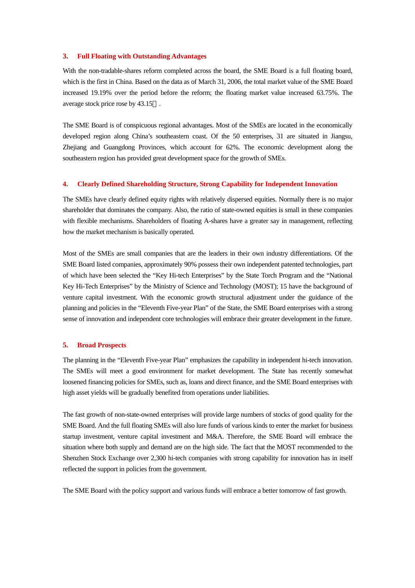#### **3. Full Floating with Outstanding Advantages**

With the non-tradable-shares reform completed across the board, the SME Board is a full floating board, which is the first in China. Based on the data as of March 31, 2006, the total market value of the SME Board increased 19.19% over the period before the reform; the floating market value increased 63.75%. The average stock price rose by 43.15 .

The SME Board is of conspicuous regional advantages. Most of the SMEs are located in the economically developed region along China's southeastern coast. Of the 50 enterprises, 31 are situated in Jiangsu, Zhejiang and Guangdong Provinces, which account for 62%. The economic development along the southeastern region has provided great development space for the growth of SMEs.

#### **4. Clearly Defined Shareholding Structure, Strong Capability for Independent Innovation**

The SMEs have clearly defined equity rights with relatively dispersed equities. Normally there is no major shareholder that dominates the company. Also, the ratio of state-owned equities is small in these companies with flexible mechanisms. Shareholders of floating A-shares have a greater say in management, reflecting how the market mechanism is basically operated.

Most of the SMEs are small companies that are the leaders in their own industry differentiations. Of the SME Board listed companies, approximately 90% possess their own independent patented technologies, part of which have been selected the "Key Hi-tech Enterprises" by the State Torch Program and the "National Key Hi-Tech Enterprises" by the Ministry of Science and Technology (MOST); 15 have the background of venture capital investment. With the economic growth structural adjustment under the guidance of the planning and policies in the "Eleventh Five-year Plan" of the State, the SME Board enterprises with a strong sense of innovation and independent core technologies will embrace their greater development in the future.

#### **5. Broad Prospects**

The planning in the "Eleventh Five-year Plan" emphasizes the capability in independent hi-tech innovation. The SMEs will meet a good environment for market development. The State has recently somewhat loosened financing policies for SMEs, such as, loans and direct finance, and the SME Board enterprises with high asset yields will be gradually benefited from operations under liabilities.

The fast growth of non-state-owned enterprises will provide large numbers of stocks of good quality for the SME Board. And the full floating SMEs will also lure funds of various kinds to enter the market for business startup investment, venture capital investment and M&A. Therefore, the SME Board will embrace the situation where both supply and demand are on the high side. The fact that the MOST recommended to the Shenzhen Stock Exchange over 2,300 hi-tech companies with strong capability for innovation has in itself reflected the support in policies from the government.

The SME Board with the policy support and various funds will embrace a better tomorrow of fast growth.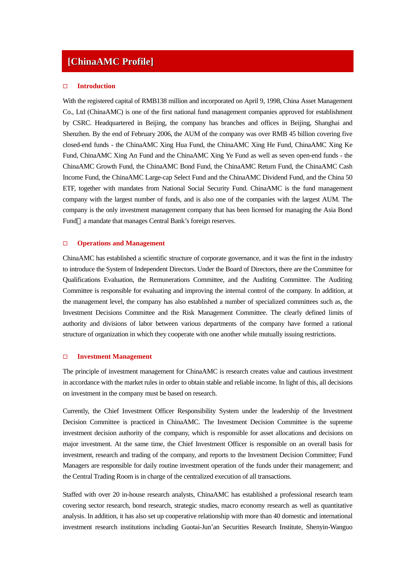### **[ChinaAMC Profile]**

#### **Introduction**

With the registered capital of RMB138 million and incorporated on April 9, 1998, China Asset Management Co., Ltd (ChinaAMC) is one of the first national fund management companies approved for establishment by CSRC. Headquartered in Beijing, the company has branches and offices in Beijing, Shanghai and Shenzhen. By the end of February 2006, the AUM of the company was over RMB 45 billion covering five closed-end funds - the ChinaAMC Xing Hua Fund, the ChinaAMC Xing He Fund, ChinaAMC Xing Ke Fund, ChinaAMC Xing An Fund and the ChinaAMC Xing Ye Fund as well as seven open-end funds - the ChinaAMC Growth Fund, the ChinaAMC Bond Fund, the ChinaAMC Return Fund, the ChinaAMC Cash Income Fund, the ChinaAMC Large-cap Select Fund and the ChinaAMC Dividend Fund, and the China 50 ETF, together with mandates from National Social Security Fund. ChinaAMC is the fund management company with the largest number of funds, and is also one of the companies with the largest AUM. The company is the only investment management company that has been licensed for managing the Asia Bond Fund a mandate that manages Central Bank's foreign reserves.

#### **Operations and Management**

ChinaAMC has established a scientific structure of corporate governance, and it was the first in the industry to introduce the System of Independent Directors. Under the Board of Directors, there are the Committee for Qualifications Evaluation, the Remunerations Committee, and the Auditing Committee. The Auditing Committee is responsible for evaluating and improving the internal control of the company. In addition, at the management level, the company has also established a number of specialized committees such as, the Investment Decisions Committee and the Risk Management Committee. The clearly defined limits of authority and divisions of labor between various departments of the company have formed a rational structure of organization in which they cooperate with one another while mutually issuing restrictions.

#### **Investment Management**

The principle of investment management for ChinaAMC is research creates value and cautious investment in accordance with the market rules in order to obtain stable and reliable income. In light of this, all decisions on investment in the company must be based on research.

Currently, the Chief Investment Officer Responsibility System under the leadership of the Investment Decision Committee is practiced in ChinaAMC. The Investment Decision Committee is the supreme investment decision authority of the company, which is responsible for asset allocations and decisions on major investment. At the same time, the Chief Investment Officer is responsible on an overall basis for investment, research and trading of the company, and reports to the Investment Decision Committee; Fund Managers are responsible for daily routine investment operation of the funds under their management; and the Central Trading Room is in charge of the centralized execution of all transactions.

Staffed with over 20 in-house research analysts, ChinaAMC has established a professional research team covering sector research, bond research, strategic studies, macro economy research as well as quantitative analysis. In addition, it has also set up cooperative relationship with more than 40 domestic and international investment research institutions including Guotai-Jun'an Securities Research Institute, Shenyin-Wanguo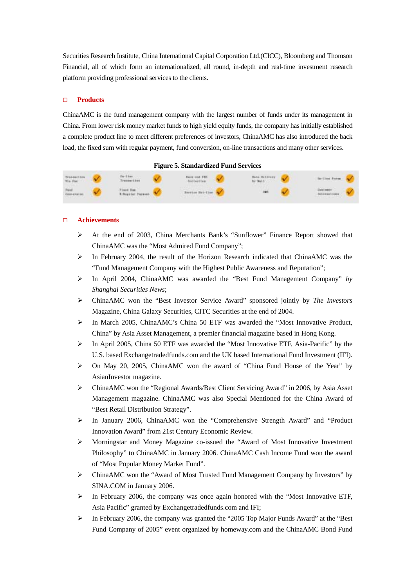Securities Research Institute, China International Capital Corporation Ltd.(CICC), Bloomberg and Thomson Financial, all of which form an internationalized, all round, in-depth and real-time investment research platform providing professional services to the clients.

#### **Products**

ChinaAMC is the fund management company with the largest number of funds under its management in China. From lower risk money market funds to high yield equity funds, the company has initially established a complete product line to meet different preferences of investors, ChinaAMC has also introduced the back load, the fixed sum with regular payment, fund conversion, on-line transactions and many other services.



#### **Achievements**

- ¾ At the end of 2003, China Merchants Bank's "Sunflower" Finance Report showed that ChinaAMC was the "Most Admired Fund Company";
- $\triangleright$  In February 2004, the result of the Horizon Research indicated that ChinaAMC was the "Fund Management Company with the Highest Public Awareness and Reputation";
- ¾ In April 2004, ChinaAMC was awarded the "Best Fund Management Company" *by Shanghai Securities News*;
- ¾ ChinaAMC won the "Best Investor Service Award" sponsored jointly by *The Investors* Magazine*,* China Galaxy Securities, CITC Securities at the end of 2004.
- ¾ In March 2005, ChinaAMC's China 50 ETF was awarded the "Most Innovative Product, China" by Asia Asset Management, a premier financial magazine based in Hong Kong.
- ¾ In April 2005, China 50 ETF was awarded the "Most Innovative ETF, Asia-Pacific" by the U.S. based Exchangetradedfunds.com and the UK based International Fund Investment (IFI).
- ¾ On May 20, 2005, ChinaAMC won the award of "China Fund House of the Year" by AsianInvestor magazine.
- ¾ ChinaAMC won the "Regional Awards/Best Client Servicing Award" in 2006, by Asia Asset Management magazine. ChinaAMC was also Special Mentioned for the China Award of "Best Retail Distribution Strategy".
- ¾ In January 2006, ChinaAMC won the "Comprehensive Strength Award" and "Product Innovation Award" from 21st Century Economic Review.
- ¾ Morningstar and Money Magazine co-issued the "Award of Most Innovative Investment Philosophy" to ChinaAMC in January 2006. ChinaAMC Cash Income Fund won the award of "Most Popular Money Market Fund".
- ¾ ChinaAMC won the "Award of Most Trusted Fund Management Company by Investors" by SINA.COM in January 2006.
- $\triangleright$  In February 2006, the company was once again honored with the "Most Innovative ETF, Asia Pacific" granted by Exchangetradedfunds.com and IFI;
- $\triangleright$  In February 2006, the company was granted the "2005 Top Major Funds Award" at the "Best" Fund Company of 2005" event organized by homeway.com and the ChinaAMC Bond Fund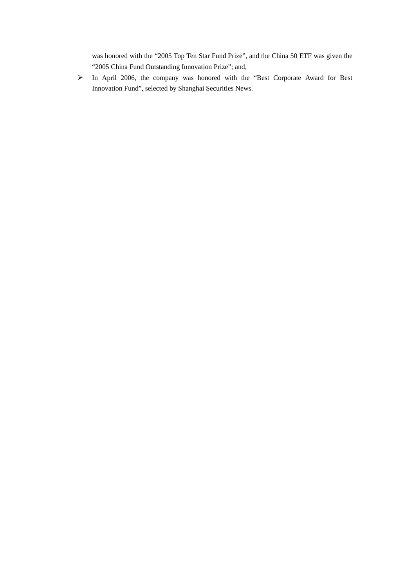was honored with the "2005 Top Ten Star Fund Prize", and the China 50 ETF was given the "2005 China Fund Outstanding Innovation Prize"; and,

¾ In April 2006, the company was honored with the "Best Corporate Award for Best Innovation Fund", selected by Shanghai Securities News.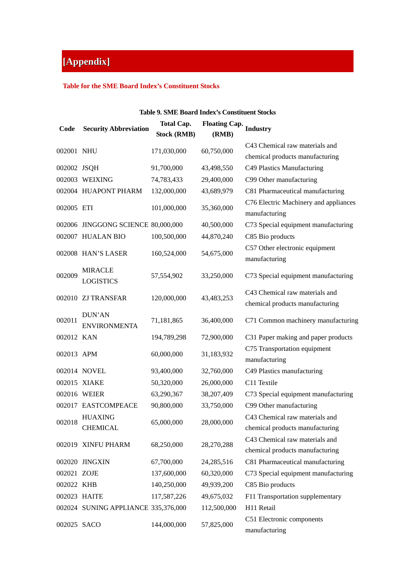## **[Appendix]**

#### **Table for the SME Board Index's Constituent Stocks**

#### **Table 9. SME Board Index's Constituent Stocks**

| Code         | <b>Security Abbreviation</b>         | <b>Total Cap.</b>  | <b>Floating Cap.</b> | <b>Industry</b>                                                   |
|--------------|--------------------------------------|--------------------|----------------------|-------------------------------------------------------------------|
|              |                                      | <b>Stock (RMB)</b> | (RMB)                |                                                                   |
| 002001 NHU   |                                      | 171,030,000        | 60,750,000           | C43 Chemical raw materials and<br>chemical products manufacturing |
| 002002 JSQH  |                                      | 91,700,000         | 43,498,550           | C49 Plastics Manufacturing                                        |
|              | 002003 WEIXING                       | 74,783,433         | 29,400,000           | C99 Other manufacturing                                           |
|              | 002004 HUAPONT PHARM                 | 132,000,000        | 43,689,979           | C81 Pharmaceutical manufacturing                                  |
| 002005 ETI   |                                      | 101,000,000        | 35,360,000           | C76 Electric Machinery and appliances<br>manufacturing            |
|              | 002006 JINGGONG SCIENCE 80,000,000   |                    | 40,500,000           | C73 Special equipment manufacturing                               |
|              | 002007 HUALAN BIO                    | 100,500,000        | 44,870,240           | C85 Bio products                                                  |
|              | 002008 HAN'S LASER                   | 160,524,000        | 54,675,000           | C57 Other electronic equipment<br>manufacturing                   |
| 002009       | <b>MIRACLE</b><br><b>LOGISTICS</b>   | 57,554,902         | 33,250,000           | C73 Special equipment manufacturing                               |
|              | 002010 ZJ TRANSFAR                   | 120,000,000        | 43,483,253           | C43 Chemical raw materials and<br>chemical products manufacturing |
| 002011       | <b>DUN'AN</b><br><b>ENVIRONMENTA</b> | 71,181,865         | 36,400,000           | C71 Common machinery manufacturing                                |
| 002012 KAN   |                                      | 194,789,298        | 72,900,000           | C31 Paper making and paper products                               |
| 002013 APM   |                                      | 60,000,000         | 31,183,932           | C75 Transportation equipment<br>manufacturing                     |
|              | 002014 NOVEL                         | 93,400,000         | 32,760,000           | C49 Plastics manufacturing                                        |
|              | 002015 XIAKE                         | 50,320,000         | 26,000,000           | C11 Textile                                                       |
|              | 002016 WEIER                         | 63,290,367         | 38,207,409           | C73 Special equipment manufacturing                               |
|              | 002017 EASTCOMPEACE                  | 90,800,000         | 33,750,000           | C99 Other manufacturing                                           |
| 002018       | <b>HUAXING</b><br><b>CHEMICAL</b>    | 65,000,000         | 28,000,000           | C43 Chemical raw materials and<br>chemical products manufacturing |
|              | 002019 XINFU PHARM                   | 68,250,000         | 28,270,288           | C43 Chemical raw materials and<br>chemical products manufacturing |
|              | 002020 JINGXIN                       | 67,700,000         | 24,285,516           | C81 Pharmaceutical manufacturing                                  |
| 002021 ZOJE  |                                      | 137,600,000        | 60,320,000           | C73 Special equipment manufacturing                               |
| 002022 KHB   |                                      | 140,250,000        | 49,939,200           | C85 Bio products                                                  |
| 002023 HAITE |                                      | 117,587,226        | 49,675,032           | F11 Transportation supplementary                                  |
|              | 002024 SUNING APPLIANCE 335,376,000  |                    | 112,500,000          | H11 Retail                                                        |
| 002025 SACO  |                                      | 144,000,000        | 57,825,000           | C51 Electronic components<br>manufacturing                        |